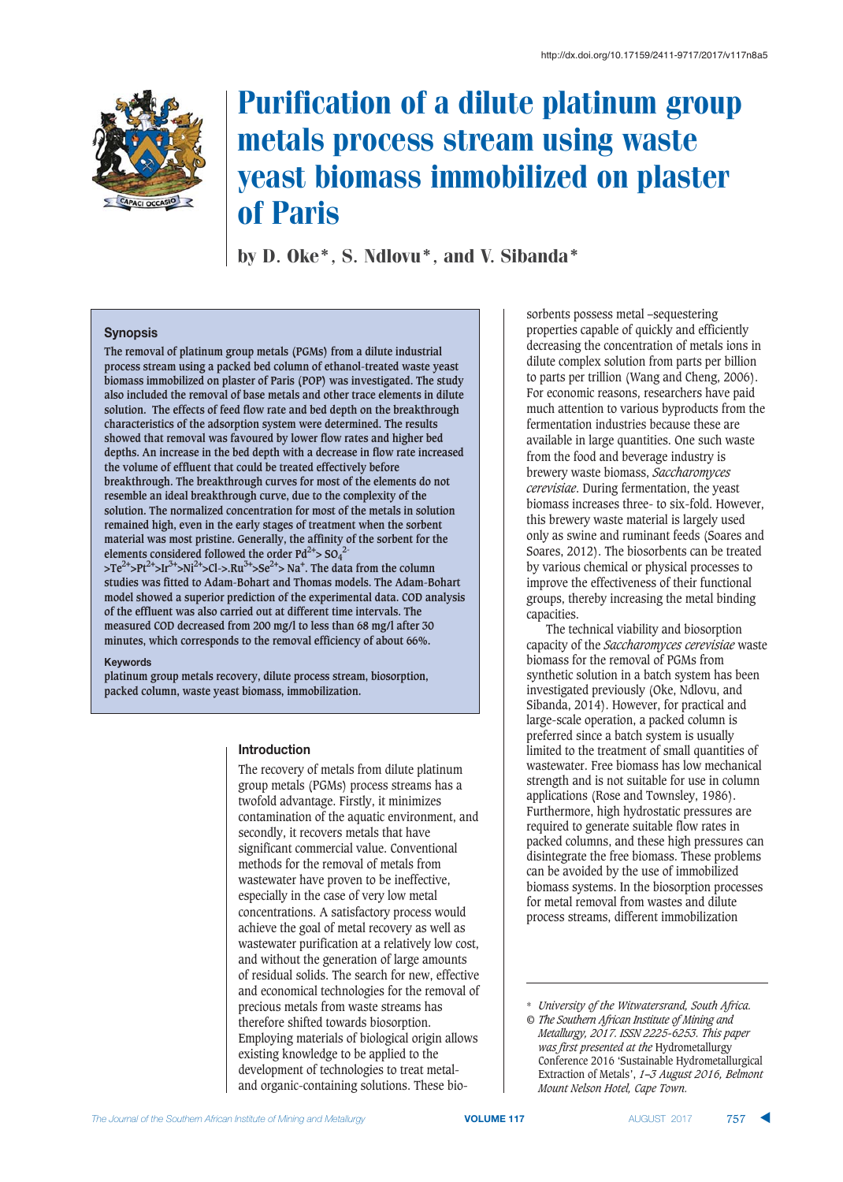

# Purification of a dilute platinum group metals process stream using waste yeast biomass immobilized on plaster of Paris

by D. Oke\*, S. Ndlovu\*, and V. Sibanda\*

## **Synopsis**

**The removal of platinum group metals (PGMs) from a dilute industrial process stream using a packed bed column of ethanol-treated waste yeast biomass immobilized on plaster of Paris (POP) was investigated. The study also included the removal of base metals and other trace elements in dilute solution. The effects of feed flow rate and bed depth on the breakthrough characteristics of the adsorption system were determined. The results showed that removal was favoured by lower flow rates and higher bed depths. An increase in the bed depth with a decrease in flow rate increased the volume of effluent that could be treated effectively before breakthrough. The breakthrough curves for most of the elements do not resemble an ideal breakthrough curve, due to the complexity of the solution. The normalized concentration for most of the metals in solution remained high, even in the early stages of treatment when the sorbent material was most pristine. Generally, the affinity of the sorbent for the** elements considered followed the order  $Pd^{2+} > SO_4^2$ 

**>Te2+>Pt2+>Ir3+>Ni2+>Cl->.Ru3+>Se2+> Na+ . The data from the column studies was fitted to Adam-Bohart and Thomas models. The Adam-Bohart model showed a superior prediction of the experimental data. COD analysis of the effluent was also carried out at different time intervals. The measured COD decreased from 200 mg/l to less than 68 mg/l after 30 minutes, which corresponds to the removal efficiency of about 66%.**

#### **Keywords**

**platinum group metals recovery, dilute process stream, biosorption, packed column, waste yeast biomass, immobilization.**

## **Introduction**

The recovery of metals from dilute platinum group metals (PGMs) process streams has a twofold advantage. Firstly, it minimizes contamination of the aquatic environment, and secondly, it recovers metals that have significant commercial value. Conventional methods for the removal of metals from wastewater have proven to be ineffective, especially in the case of very low metal concentrations. A satisfactory process would achieve the goal of metal recovery as well as wastewater purification at a relatively low cost, and without the generation of large amounts of residual solids. The search for new, effective and economical technologies for the removal of precious metals from waste streams has therefore shifted towards biosorption. Employing materials of biological origin allows existing knowledge to be applied to the development of technologies to treat metaland organic-containing solutions. These biosorbents possess metal –sequestering properties capable of quickly and efficiently decreasing the concentration of metals ions in dilute complex solution from parts per billion to parts per trillion (Wang and Cheng, 2006). For economic reasons, researchers have paid much attention to various byproducts from the fermentation industries because these are available in large quantities. One such waste from the food and beverage industry is brewery waste biomass, *Saccharomyces cerevisiae*. During fermentation, the yeast biomass increases three- to six-fold. However, this brewery waste material is largely used only as swine and ruminant feeds (Soares and Soares, 2012). The biosorbents can be treated by various chemical or physical processes to improve the effectiveness of their functional groups, thereby increasing the metal binding capacities.

The technical viability and biosorption capacity of the *Saccharomyces cerevisiae* waste biomass for the removal of PGMs from synthetic solution in a batch system has been investigated previously (Oke, Ndlovu, and Sibanda, 2014). However, for practical and large-scale operation, a packed column is preferred since a batch system is usually limited to the treatment of small quantities of wastewater. Free biomass has low mechanical strength and is not suitable for use in column applications (Rose and Townsley, 1986). Furthermore, high hydrostatic pressures are required to generate suitable flow rates in packed columns, and these high pressures can disintegrate the free biomass. These problems can be avoided by the use of immobilized biomass systems. In the biosorption processes for metal removal from wastes and dilute process streams, different immobilization

<sup>\*</sup> *University of the Witwatersrand, South Africa. © The Southern African Institute of Mining and*

*Metallurgy, 2017. ISSN 2225-6253. This paper was first presented at the* Hydrometallurgy Conference 2016 'Sustainable Hydrometallurgical Extraction of Metals', *1–3 August 2016, Belmont Mount Nelson Hotel, Cape Town.*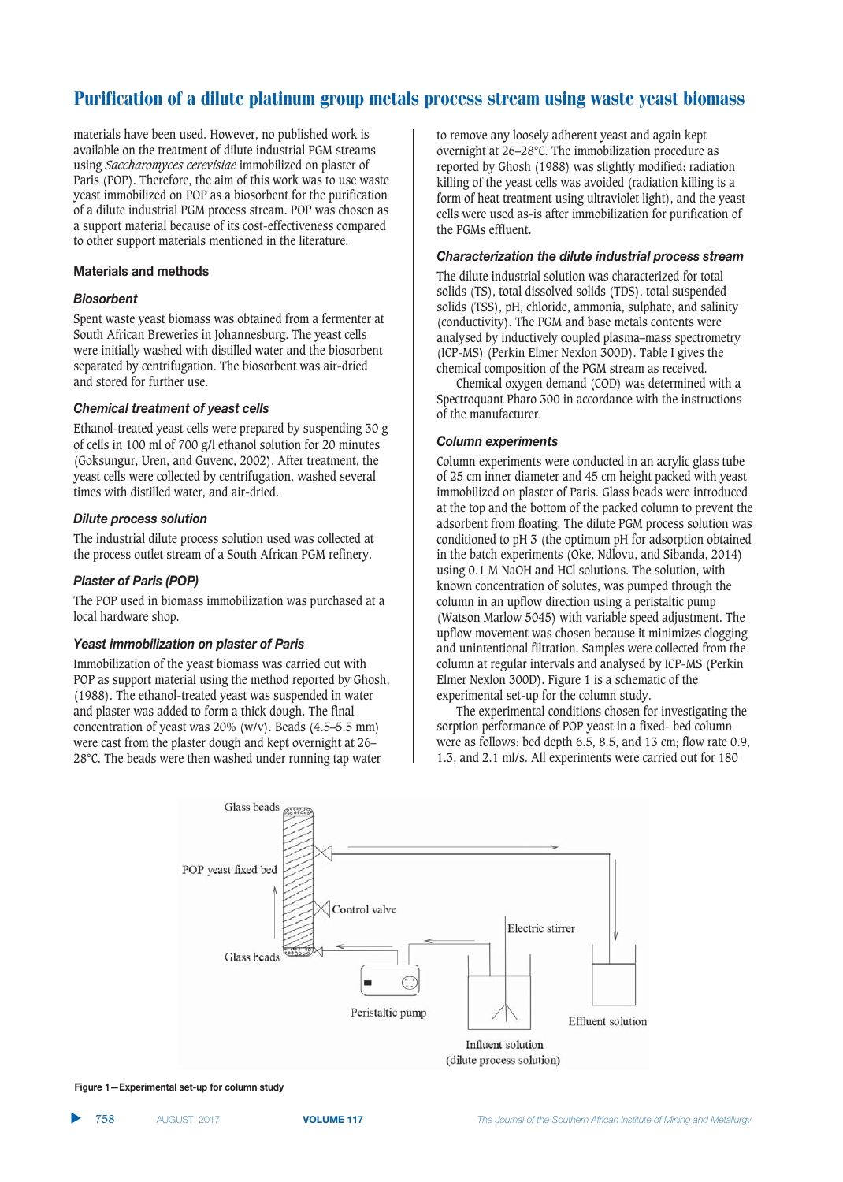materials have been used. However, no published work is available on the treatment of dilute industrial PGM streams using *Saccharomyces cerevisiae* immobilized on plaster of Paris (POP). Therefore, the aim of this work was to use waste yeast immobilized on POP as a biosorbent for the purification of a dilute industrial PGM process stream. POP was chosen as a support material because of its cost-effectiveness compared to other support materials mentioned in the literature.

#### **Materials and methods**

#### $Biosor bent$

Spent waste yeast biomass was obtained from a fermenter at South African Breweries in Johannesburg. The yeast cells were initially washed with distilled water and the biosorbent separated by centrifugation. The biosorbent was air-dried and stored for further use.

#### Chemical treatment of yeast cells

Ethanol-treated yeast cells were prepared by suspending 30 g of cells in 100 ml of 700 g/l ethanol solution for 20 minutes (Goksungur, Uren, and Guvenc, 2002). After treatment, the yeast cells were collected by centrifugation, washed several times with distilled water, and air-dried.

#### **Dilute process solution**

The industrial dilute process solution used was collected at the process outlet stream of a South African PGM refinery.

#### **Plaster of Paris (POP)**

The POP used in biomass immobilization was purchased at a local hardware shop.

#### **Yeast immobilization on plaster of Paris**

Immobilization of the yeast biomass was carried out with POP as support material using the method reported by Ghosh, (1988). The ethanol-treated yeast was suspended in water and plaster was added to form a thick dough. The final concentration of yeast was 20% (w/v). Beads (4.5–5.5 mm) were cast from the plaster dough and kept overnight at 26– 28°C. The beads were then washed under running tap water

to remove any loosely adherent yeast and again kept overnight at 26–28°C. The immobilization procedure as reported by Ghosh (1988) was slightly modified: radiation killing of the yeast cells was avoided (radiation killing is a form of heat treatment using ultraviolet light), and the yeast cells were used as-is after immobilization for purification of the PGMs effluent.

#### **Characterization the dilute industrial process stream**

The dilute industrial solution was characterized for total solids (TS), total dissolved solids (TDS), total suspended solids (TSS), pH, chloride, ammonia, sulphate, and salinity (conductivity). The PGM and base metals contents were analysed by inductively coupled plasma–mass spectrometry (ICP-MS) (Perkin Elmer Nexlon 300D). Table I gives the chemical composition of the PGM stream as received.

Chemical oxygen demand (COD) was determined with a Spectroquant Pharo 300 in accordance with the instructions of the manufacturer.

#### **Column experiments**

Column experiments were conducted in an acrylic glass tube of 25 cm inner diameter and 45 cm height packed with yeast immobilized on plaster of Paris. Glass beads were introduced at the top and the bottom of the packed column to prevent the adsorbent from floating. The dilute PGM process solution was conditioned to pH 3 (the optimum pH for adsorption obtained in the batch experiments (Oke, Ndlovu, and Sibanda, 2014) using 0.1 M NaOH and HCl solutions. The solution, with known concentration of solutes, was pumped through the column in an upflow direction using a peristaltic pump (Watson Marlow 5045) with variable speed adjustment. The upflow movement was chosen because it minimizes clogging and unintentional filtration. Samples were collected from the column at regular intervals and analysed by ICP-MS (Perkin Elmer Nexlon 300D). Figure 1 is a schematic of the experimental set-up for the column study.

The experimental conditions chosen for investigating the sorption performance of POP yeast in a fixed- bed column were as follows: bed depth 6.5, 8.5, and 13 cm; flow rate 0.9, 1.3, and 2.1 ml/s. All experiments were carried out for 180



**Figure 1-Experimental set-up for column study**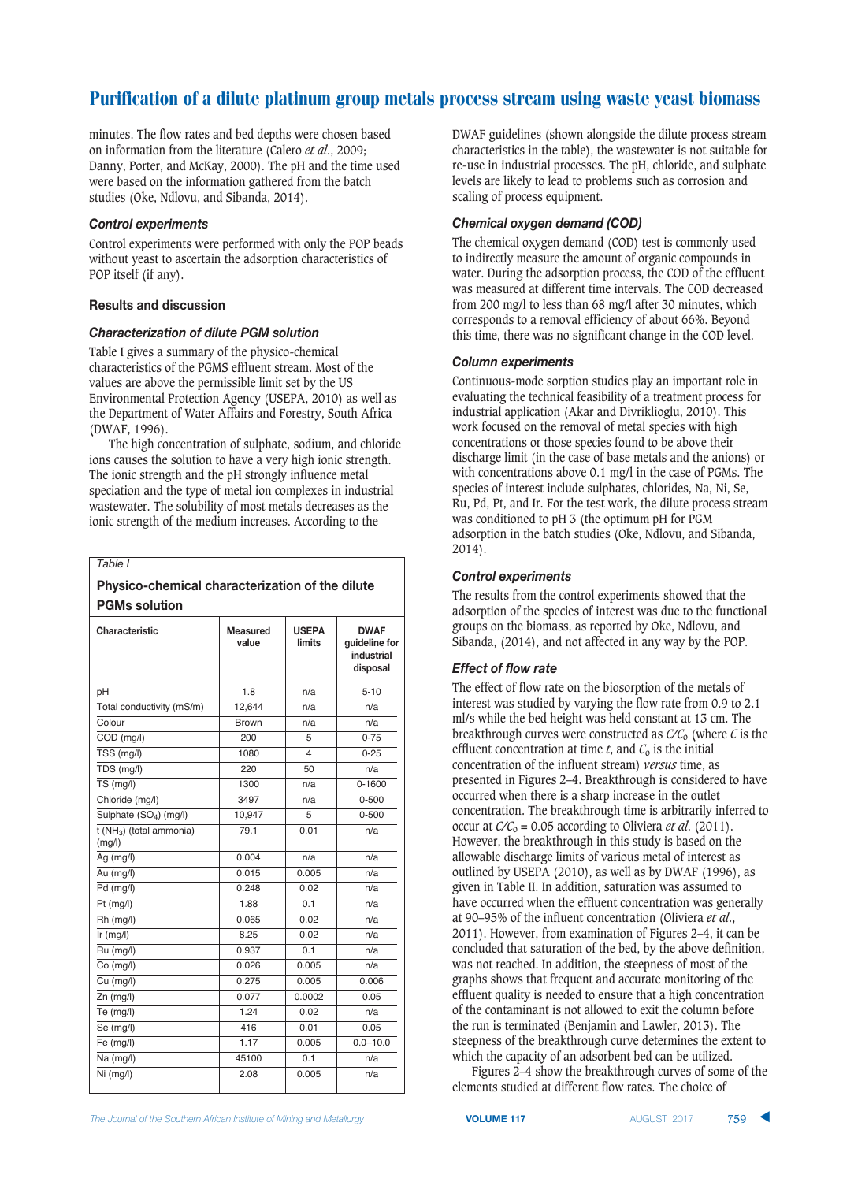minutes. The flow rates and bed depths were chosen based on information from the literature (Calero *et al*., 2009; Danny, Porter, and McKay, 2000). The pH and the time used were based on the information gathered from the batch studies (Oke, Ndlovu, and Sibanda, 2014).

#### **Control experiments**

Control experiments were performed with only the POP beads without yeast to ascertain the adsorption characteristics of POP itself (if any).

#### **Results and discussion**

#### **Characterization of dilute PGM solution**

Table I gives a summary of the physico-chemical characteristics of the PGMS effluent stream. Most of the values are above the permissible limit set by the US Environmental Protection Agency (USEPA, 2010) as well as the Department of Water Affairs and Forestry, South Africa (DWAF, 1996).

The high concentration of sulphate, sodium, and chloride ions causes the solution to have a very high ionic strength. The ionic strength and the pH strongly influence metal speciation and the type of metal ion complexes in industrial wastewater. The solubility of most metals decreases as the ionic strength of the medium increases. According to the

#### *Table I*

## Physico-chemical characterization of the dilute **PGMs solution**

| Characteristic                      | <b>Measured</b><br>value | <b>USEPA</b><br><b>limits</b> | <b>DWAF</b><br>guideline for<br>industrial<br>disposal |
|-------------------------------------|--------------------------|-------------------------------|--------------------------------------------------------|
| pH                                  | 1.8                      | n/a                           | $5 - 10$                                               |
| Total conductivity (mS/m)           | 12,644                   | n/a                           | n/a                                                    |
| Colour                              | <b>Brown</b>             | n/a                           | n/a                                                    |
| COD (mq/l)                          | 200                      | 5                             | $0 - 75$                                               |
| TSS (mg/l)                          | 1080                     | 4                             | $0 - 25$                                               |
| TDS (mg/l)                          | 220                      | 50                            | n/a                                                    |
| TS (mg/l)                           | 1300                     | n/a                           | $0 - 1600$                                             |
| Chloride (mg/l)                     | 3497                     | n/a                           | $0 - 500$                                              |
| Sulphate (SO <sub>4</sub> ) (mg/l)  | 10,947                   | 5                             | $0 - 500$                                              |
| $t(NH_3)$ (total ammonia)<br>(mg/l) | 79.1                     | 0.01                          | n/a                                                    |
| Ag (mg/l)                           | 0.004                    | n/a                           | n/a                                                    |
| Au (mg/l)                           | 0.015                    | 0.005                         | n/a                                                    |
| Pd (mg/l)                           | 0.248                    | 0.02                          | n/a                                                    |
| Pt (mg/l)                           | 1.88                     | 0.1                           | n/a                                                    |
| Rh (mg/l)                           | 0.065                    | 0.02                          | n/a                                                    |
| $lr$ (mg/l)                         | 8.25                     | 0.02                          | n/a                                                    |
| Ru (mg/l)                           | 0.937                    | 0.1                           | n/a                                                    |
| Co (mg/l)                           | 0.026                    | 0.005                         | n/a                                                    |
| Cu (mg/l)                           | 0.275                    | 0.005                         | 0.006                                                  |
| $Zn$ (mg/l)                         | 0.077                    | 0.0002                        | 0.05                                                   |
| Te (mg/l)                           | 1.24                     | 0.02                          | n/a                                                    |
| Se (mg/l)                           | 416                      | 0.01                          | 0.05                                                   |
| Fe (mg/l)                           | 1.17                     | 0.005                         | $0.0 - 10.0$                                           |
| Na (mg/l)                           | 45100                    | 0.1                           | n/a                                                    |
| Ni (mg/l)                           | 2.08                     | 0.005                         | n/a                                                    |

DWAF guidelines (shown alongside the dilute process stream characteristics in the table), the wastewater is not suitable for re-use in industrial processes. The pH, chloride, and sulphate levels are likely to lead to problems such as corrosion and scaling of process equipment.

## Chemical oxygen demand (COD)

The chemical oxygen demand (COD) test is commonly used to indirectly measure the amount of organic compounds in water. During the adsorption process, the COD of the effluent was measured at different time intervals. The COD decreased from 200 mg/l to less than 68 mg/l after 30 minutes, which corresponds to a removal efficiency of about 66%. Beyond this time, there was no significant change in the COD level.

#### **Column experiments**

Continuous-mode sorption studies play an important role in evaluating the technical feasibility of a treatment process for industrial application (Akar and Divriklioglu, 2010). This work focused on the removal of metal species with high concentrations or those species found to be above their discharge limit (in the case of base metals and the anions) or with concentrations above 0.1 mg/l in the case of PGMs. The species of interest include sulphates, chlorides, Na, Ni, Se, Ru, Pd, Pt, and Ir. For the test work, the dilute process stream was conditioned to pH 3 (the optimum pH for PGM adsorption in the batch studies (Oke, Ndlovu, and Sibanda,  $2014$ ).

## **Control experiments**

The results from the control experiments showed that the adsorption of the species of interest was due to the functional groups on the biomass, as reported by Oke, Ndlovu, and Sibanda, (2014), and not affected in any way by the POP.

## **Effect of flow rate**

The effect of flow rate on the biosorption of the metals of interest was studied by varying the flow rate from 0.9 to 2.1 ml/s while the bed height was held constant at 13 cm. The breakthrough curves were constructed as  $C/C<sub>o</sub>$  (where *C* is the effluent concentration at time  $t$ , and  $C_0$  is the initial concentration of the influent stream) *versus* time, as presented in Figures 2–4. Breakthrough is considered to have occurred when there is a sharp increase in the outlet concentration. The breakthrough time is arbitrarily inferred to occur at  $C/C_0 = 0.05$  according to Oliviera *et al.* (2011). However, the breakthrough in this study is based on the allowable discharge limits of various metal of interest as outlined by USEPA (2010), as well as by DWAF (1996), as given in Table II. In addition, saturation was assumed to have occurred when the effluent concentration was generally at 90–95% of the influent concentration (Oliviera *et al*., 2011). However, from examination of Figures 2–4, it can be concluded that saturation of the bed, by the above definition, was not reached. In addition, the steepness of most of the graphs shows that frequent and accurate monitoring of the effluent quality is needed to ensure that a high concentration of the contaminant is not allowed to exit the column before the run is terminated (Benjamin and Lawler, 2013). The steepness of the breakthrough curve determines the extent to which the capacity of an adsorbent bed can be utilized.

Figures 2–4 show the breakthrough curves of some of the elements studied at different flow rates. The choice of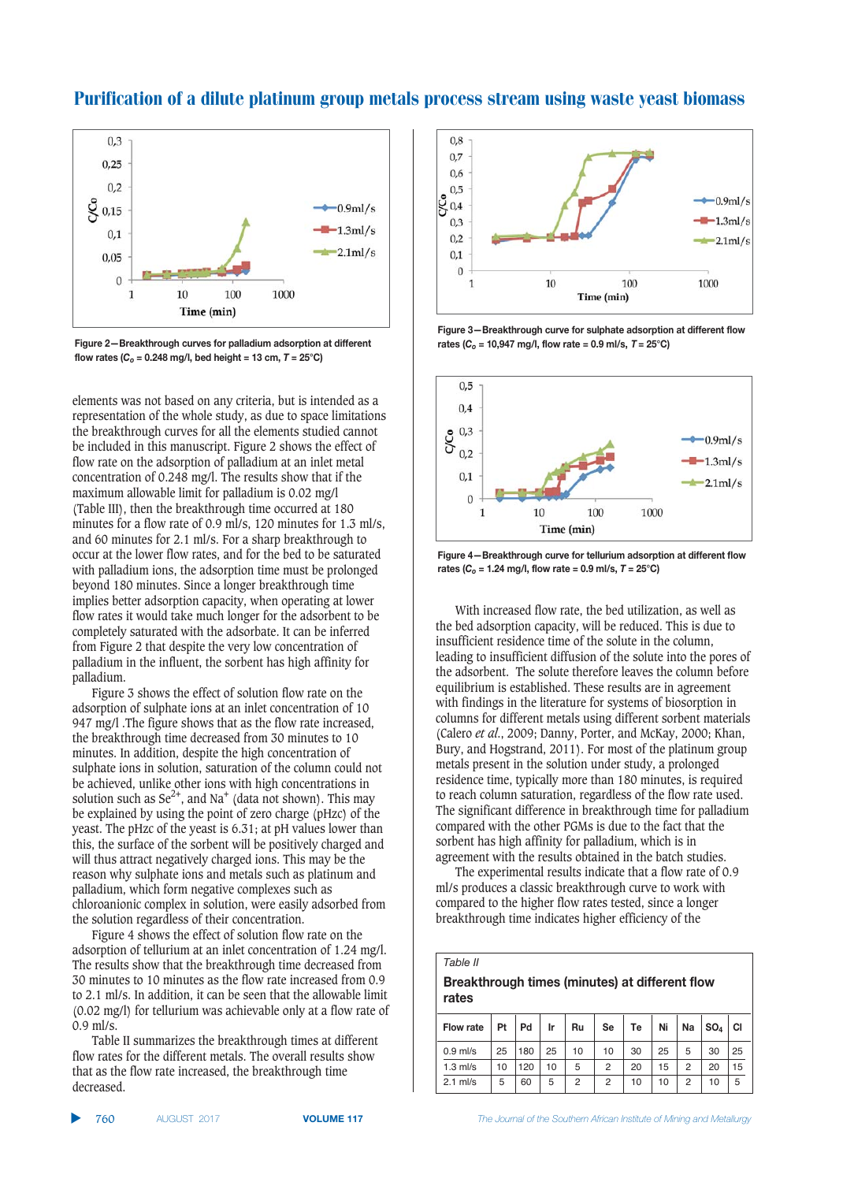

**Figure 2-Breakthrough curves for palladium adsorption at different** flow rates  $(C_0 = 0.248 \text{ mg/l, bed height} = 13 \text{ cm}, T = 25^{\circ}\text{C})$ 

elements was not based on any criteria, but is intended as a representation of the whole study, as due to space limitations the breakthrough curves for all the elements studied cannot be included in this manuscript. Figure 2 shows the effect of flow rate on the adsorption of palladium at an inlet metal concentration of 0.248 mg/l. The results show that if the maximum allowable limit for palladium is 0.02 mg/l (Table III), then the breakthrough time occurred at 180 minutes for a flow rate of 0.9 ml/s, 120 minutes for 1.3 ml/s, and 60 minutes for 2.1 ml/s. For a sharp breakthrough to occur at the lower flow rates, and for the bed to be saturated with palladium ions, the adsorption time must be prolonged beyond 180 minutes. Since a longer breakthrough time implies better adsorption capacity, when operating at lower flow rates it would take much longer for the adsorbent to be completely saturated with the adsorbate. It can be inferred from Figure 2 that despite the very low concentration of palladium in the influent, the sorbent has high affinity for palladium.

Figure 3 shows the effect of solution flow rate on the adsorption of sulphate ions at an inlet concentration of 10 947 mg/l .The figure shows that as the flow rate increased, the breakthrough time decreased from 30 minutes to 10 minutes. In addition, despite the high concentration of sulphate ions in solution, saturation of the column could not be achieved, unlike other ions with high concentrations in solution such as  $\text{Se}^{2+}$ , and Na<sup>+</sup> (data not shown). This may be explained by using the point of zero charge (pHzc) of the yeast. The pHzc of the yeast is 6.31; at pH values lower than this, the surface of the sorbent will be positively charged and will thus attract negatively charged ions. This may be the reason why sulphate ions and metals such as platinum and palladium, which form negative complexes such as chloroanionic complex in solution, were easily adsorbed from the solution regardless of their concentration.

Figure 4 shows the effect of solution flow rate on the adsorption of tellurium at an inlet concentration of 1.24 mg/l. The results show that the breakthrough time decreased from 30 minutes to 10 minutes as the flow rate increased from 0.9 to 2.1 ml/s. In addition, it can be seen that the allowable limit (0.02 mg/l) for tellurium was achievable only at a flow rate of  $0.9$  ml/s.

Table II summarizes the breakthrough times at different flow rates for the different metals. The overall results show that as the flow rate increased, the breakthrough time decreased.



**Figure 3-Breakthrough curve for sulphate adsorption at different flow**  $\text{rates}$  ( $C_0 = 10,947 \text{ mg/l}$ , flow rate = 0.9 ml/s,  $T = 25^{\circ} \text{C}$ )



**Figure 4-Breakthrough curve for tellurium adsorption at different flow rates (C<sub>o</sub> = 1.24 mg/l, flow rate = 0.9 ml/s, T = 25°C)** 

With increased flow rate, the bed utilization, as well as the bed adsorption capacity, will be reduced. This is due to insufficient residence time of the solute in the column, leading to insufficient diffusion of the solute into the pores of the adsorbent. The solute therefore leaves the column before equilibrium is established. These results are in agreement with findings in the literature for systems of biosorption in columns for different metals using different sorbent materials (Calero *et al*., 2009; Danny, Porter, and McKay, 2000; Khan, Bury, and Hogstrand, 2011). For most of the platinum group metals present in the solution under study, a prolonged residence time, typically more than 180 minutes, is required to reach column saturation, regardless of the flow rate used. The significant difference in breakthrough time for palladium compared with the other PGMs is due to the fact that the sorbent has high affinity for palladium, which is in agreement with the results obtained in the batch studies.

The experimental results indicate that a flow rate of 0.9 ml/s produces a classic breakthrough curve to work with compared to the higher flow rates tested, since a longer breakthrough time indicates higher efficiency of the

#### *Table II*

#### **Breakthrough times (minutes) at different flow**  $rate<sub>S</sub>$

|  | Flow rate  | Pt | Pd  | Ir | Ru | Se | Te | Ni | Na | SO <sub>4</sub> | <b>CI</b> |
|--|------------|----|-----|----|----|----|----|----|----|-----------------|-----------|
|  | $0.9$ ml/s | 25 | 180 | 25 | 10 | 10 | 30 | 25 | 5  | 30              | 25        |
|  | $1.3$ ml/s | 10 | 120 | 10 | 5  | 2  | 20 | 15 | 2  | 20              | 15        |
|  | $2.1$ ml/s | 5  | 60  | 5  | 2  | 2  | 10 | 10 | 2  | 10              | 5         |

▲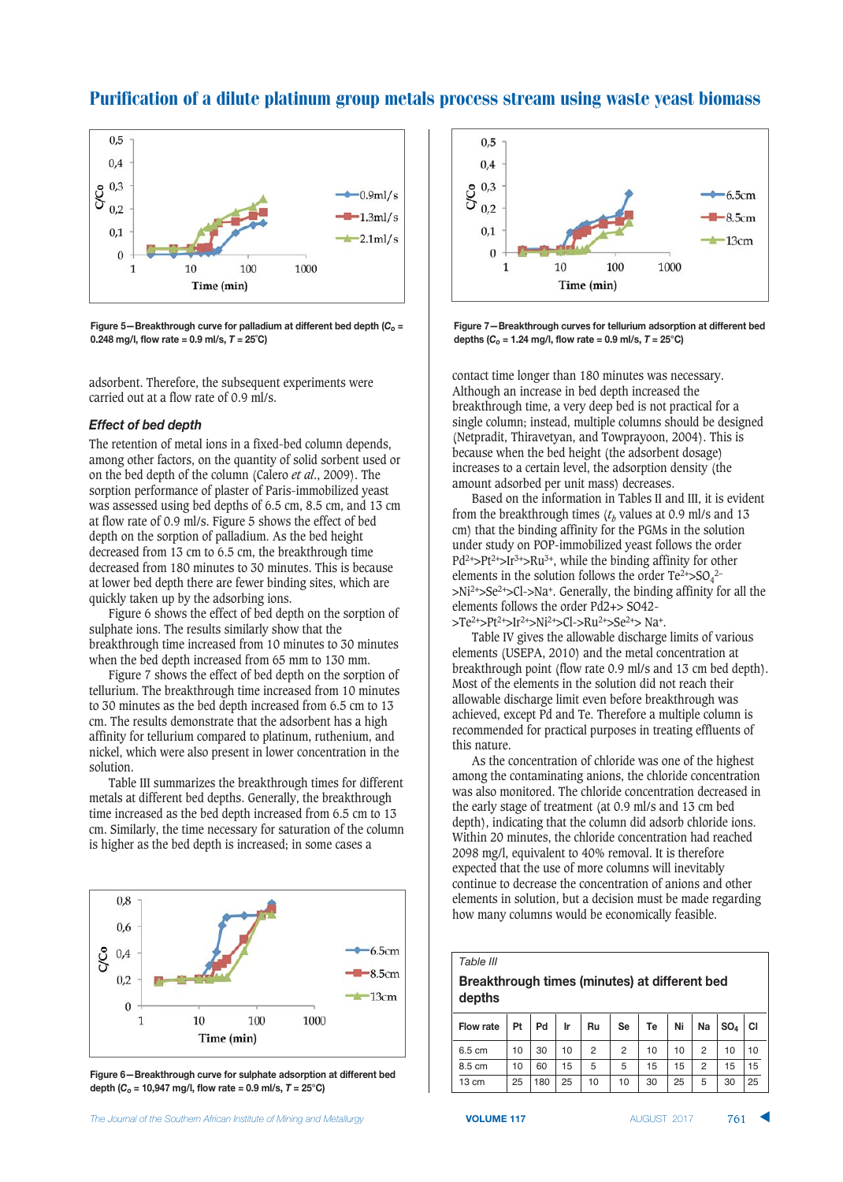



**Figure 5-Breakthrough curve for palladium at different bed depth (C<sub>o</sub> =**  $0.248 \text{ mg/l}$ , flow rate =  $0.9 \text{ ml/s}$ ,  $T = 25^{\circ}\text{C}$ )

adsorbent. Therefore, the subsequent experiments were carried out at a flow rate of 0.9 ml/s.

#### **Effect of bed depth**

The retention of metal ions in a fixed-bed column depends, among other factors, on the quantity of solid sorbent used or on the bed depth of the column (Calero *et al*., 2009). The sorption performance of plaster of Paris-immobilized yeast was assessed using bed depths of 6.5 cm, 8.5 cm, and 13 cm at flow rate of 0.9 ml/s. Figure 5 shows the effect of bed depth on the sorption of palladium. As the bed height decreased from 13 cm to 6.5 cm, the breakthrough time decreased from 180 minutes to 30 minutes. This is because at lower bed depth there are fewer binding sites, which are quickly taken up by the adsorbing ions.

Figure 6 shows the effect of bed depth on the sorption of sulphate ions. The results similarly show that the breakthrough time increased from 10 minutes to 30 minutes when the bed depth increased from 65 mm to 130 mm.

Figure 7 shows the effect of bed depth on the sorption of tellurium. The breakthrough time increased from 10 minutes to 30 minutes as the bed depth increased from 6.5 cm to 13 cm. The results demonstrate that the adsorbent has a high affinity for tellurium compared to platinum, ruthenium, and nickel, which were also present in lower concentration in the solution.

Table III summarizes the breakthrough times for different metals at different bed depths. Generally, the breakthrough time increased as the bed depth increased from 6.5 cm to 13 cm. Similarly, the time necessary for saturation of the column is higher as the bed depth is increased; in some cases a



Figure 6-Breakthrough curve for sulphate adsorption at different bed  $\frac{4}{5}$  **depth**  $(C_0 = 10,947 \text{ mg/l}, \text{flow rate} = 0.9 \text{ m/s}, T = 25^{\circ}\text{C}$ 



Figure 7-Breakthrough curves for tellurium adsorption at different bed **4** $\Phi$  **4** $\Phi$  *C<sub>o</sub>* **= 1.24 mg/l, flow rate = 0.9 ml/s,**  $T = 25^{\circ}$ **C)** 

contact time longer than 180 minutes was necessary. Although an increase in bed depth increased the breakthrough time, a very deep bed is not practical for a single column; instead, multiple columns should be designed (Netpradit, Thiravetyan, and Towprayoon, 2004). This is because when the bed height (the adsorbent dosage) increases to a certain level, the adsorption density (the amount adsorbed per unit mass) decreases.

Based on the information in Tables II and III, it is evident from the breakthrough times  $(t_b$  values at 0.9 ml/s and 13 cm) that the binding affinity for the PGMs in the solution under study on POP-immobilized yeast follows the order  $Pd^{2+} > Pt^{2+} > Ir^{3+} > Ru^{3+}$ , while the binding affinity for other elements in the solution follows the order  $Te^{2+} > SO_4^{2-}$ >Ni2+>Se2+>Cl->Na+. Generally, the binding affinity for all the elements follows the order Pd2+> SO42-

 $> Te^{2+} > Pt^{2+} > Ir^{2+} > Ni^{2+} > Cl - > Ru^{2+} > Se^{2+} > Na^{+}.$ 

Table IV gives the allowable discharge limits of various elements (USEPA, 2010) and the metal concentration at breakthrough point (flow rate 0.9 ml/s and 13 cm bed depth). Most of the elements in the solution did not reach their allowable discharge limit even before breakthrough was achieved, except Pd and Te. Therefore a multiple column is recommended for practical purposes in treating effluents of this nature.

As the concentration of chloride was one of the highest among the contaminating anions, the chloride concentration was also monitored. The chloride concentration decreased in the early stage of treatment (at 0.9 ml/s and 13 cm bed depth), indicating that the column did adsorb chloride ions. Within 20 minutes, the chloride concentration had reached 2098 mg/l, equivalent to 40% removal. It is therefore expected that the use of more columns will inevitably continue to decrease the concentration of anions and other elements in solution, but a decision must be made regarding how many columns would be economically feasible.

#### *Table III*

#### **Breakthrough times (minutes) at different bed** depths

|  | Flow rate       | Pt | Pd  | Ir | Ru | Se | Te | Ni | Na | $ SO_4 $ | <b>CI</b> |
|--|-----------------|----|-----|----|----|----|----|----|----|----------|-----------|
|  | 6.5 cm          | 10 | 30  | 10 | 2  | 2  | 10 | 10 | 2  | 10       | 10        |
|  | 8.5 cm          | 10 | 60  | 15 | 5  | 5  | 15 | 15 | 2  | 15       | 15        |
|  | $13 \text{ cm}$ | 25 | 180 | 25 | 10 | 10 | 30 | 25 | 5  | 30       | 25        |

 **VOLUME 117**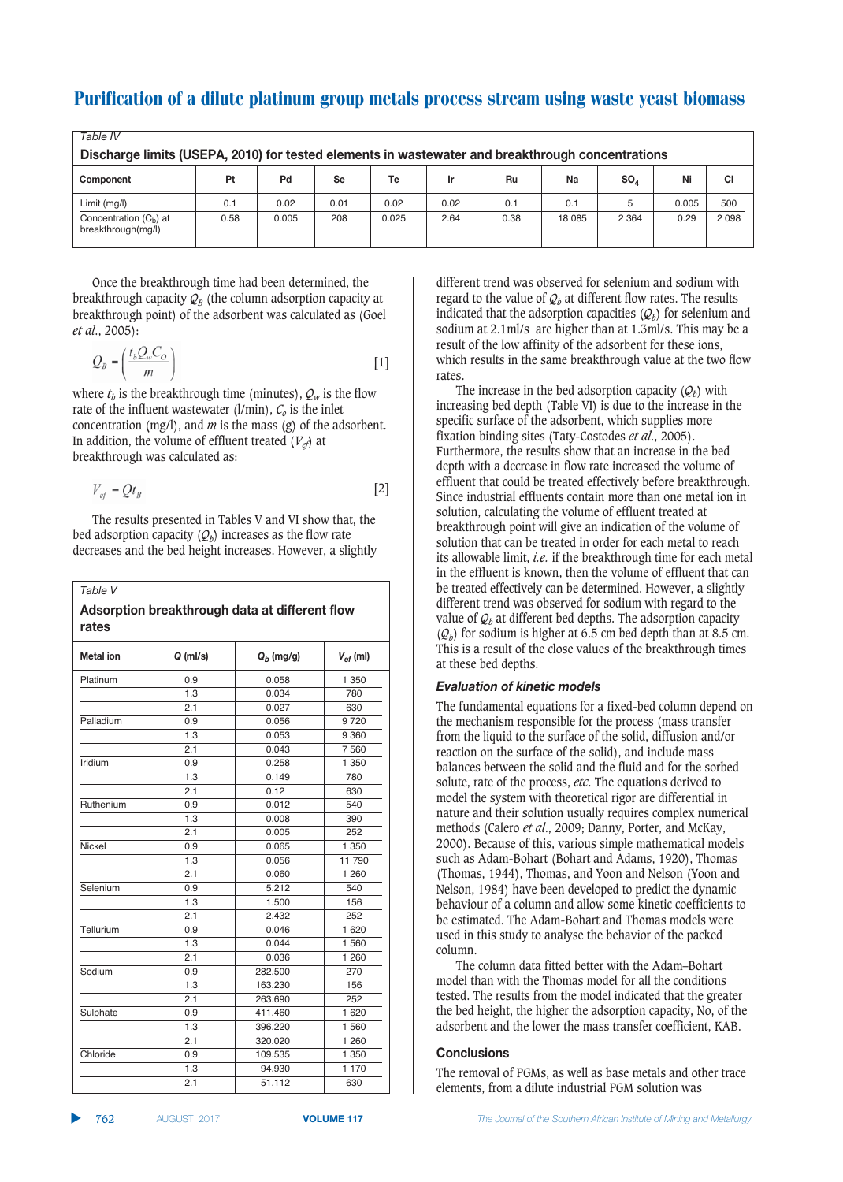| Table IV                                                                                         |      |       |      |       |      |      |        |                 |       |           |
|--------------------------------------------------------------------------------------------------|------|-------|------|-------|------|------|--------|-----------------|-------|-----------|
| Discharge limits (USEPA, 2010) for tested elements in wastewater and breakthrough concentrations |      |       |      |       |      |      |        |                 |       |           |
| Component                                                                                        | Pt   | Pd    | Se   | Тe    | Ir   | Ru   | Na     | SO <sub>A</sub> | Ni    | <b>CI</b> |
| Limit (mg/l)                                                                                     | 0.1  | 0.02  | 0.01 | 0.02  | 0.02 | 0.1  | 0.1    |                 | 0.005 | 500       |
| Concentration $(C_b)$ at<br>breakthrough(mg/l)                                                   | 0.58 | 0.005 | 208  | 0.025 | 2.64 | 0.38 | 18 085 | 2 3 6 4         | 0.29  | 2098      |

Once the breakthrough time had been determined, the breakthrough capacity  $\mathcal{Q}_B$  (the column adsorption capacity at breakthrough point) of the adsorbent was calculated as (Goel *et al*., 2005):

$$
Q_B = \left(\frac{t_b Q_w C_O}{m}\right) \tag{1}
$$

where  $t_b$  is the breakthrough time (minutes),  $Q_w$  is the flow rate of the influent wastewater  $(l/min)$ ,  $C<sub>o</sub>$  is the inlet concentration (mg/l), and *m* is the mass (g) of the adsorbent. In addition, the volume of effluent treated  $(V_{el})$  at breakthrough was calculated as:

$$
V_{ef} = Qt_B \tag{2}
$$

The results presented in Tables V and VI show that, the bed adsorption capacity  $(Q_h)$  increases as the flow rate decreases and the bed height increases. However, a slightly

#### *Table V*

#### Adsorption breakthrough data at different flow  $rate<sub>S</sub>$

| <b>Metal</b> ion | $Q$ (ml/s) | $Q_b$ (mg/g) | $V_{ef}$ (ml) |
|------------------|------------|--------------|---------------|
| Platinum         | 0.9        | 0.058        | 1 350         |
|                  | 1.3        | 0.034        | 780           |
|                  | 2.1        | 0.027        | 630           |
| Palladium        | 0.9        | 0.056        | 9720          |
|                  | 1.3        | 0.053        | 9 3 6 0       |
|                  | 2.1        | 0.043        | 7560          |
| Iridium          | 0.9        | 0.258        | 1 350         |
|                  | 1.3        | 0.149        | 780           |
|                  | 2.1        | 0.12         | 630           |
| Ruthenium        | 0.9        | 0.012        | 540           |
|                  | 1.3        | 0.008        | 390           |
|                  | 2.1        | 0.005        | 252           |
| Nickel           | 0.9        | 0.065        | 1 350         |
|                  | 1.3        | 0.056        | 11790         |
|                  | 2.1        | 0.060        | 1 260         |
| Selenium         | 0.9        | 5.212        | 540           |
|                  | 1.3        | 1.500        | 156           |
|                  | 2.1        | 2.432        | 252           |
| Tellurium        | 0.9        | 0.046        | 1 6 2 0       |
|                  | 1.3        | 0.044        | 1 560         |
|                  | 2.1        | 0.036        | 1 260         |
| Sodium           | 0.9        | 282.500      | 270           |
|                  | 1.3        | 163.230      | 156           |
|                  | 2.1        | 263.690      | 252           |
| Sulphate         | 0.9        | 411.460      | 1 6 2 0       |
|                  | 1.3        | 396.220      | 1 560         |
|                  | 2.1        | 320.020      | 1 260         |
| Chloride         | 0.9        | 109.535      | 1 350         |
|                  | 1.3        | 94.930       | 1 170         |
|                  | 2.1        | 51.112       | 630           |

different trend was observed for selenium and sodium with regard to the value of  $Q_b$  at different flow rates. The results indicated that the adsorption capacities  $(Q_b)$  for selenium and sodium at 2.1ml/s are higher than at 1.3ml/s. This may be a result of the low affinity of the adsorbent for these ions, which results in the same breakthrough value at the two flow rates.

The increase in the bed adsorption capacity  $(O_h)$  with increasing bed depth (Table VI) is due to the increase in the specific surface of the adsorbent, which supplies more fixation binding sites (Taty-Costodes *et al*., 2005). Furthermore, the results show that an increase in the bed depth with a decrease in flow rate increased the volume of effluent that could be treated effectively before breakthrough. Since industrial effluents contain more than one metal ion in solution, calculating the volume of effluent treated at breakthrough point will give an indication of the volume of solution that can be treated in order for each metal to reach its allowable limit, *i.e.* if the breakthrough time for each metal in the effluent is known, then the volume of effluent that can be treated effectively can be determined. However, a slightly different trend was observed for sodium with regard to the value of  $\mathcal{O}_b$  at different bed depths. The adsorption capacity  $(Q_h)$  for sodium is higher at 6.5 cm bed depth than at 8.5 cm. This is a result of the close values of the breakthrough times at these bed depths.

#### Evaluation of kinetic models

The fundamental equations for a fixed-bed column depend on the mechanism responsible for the process (mass transfer from the liquid to the surface of the solid, diffusion and/or reaction on the surface of the solid), and include mass balances between the solid and the fluid and for the sorbed solute, rate of the process, *etc*. The equations derived to model the system with theoretical rigor are differential in nature and their solution usually requires complex numerical methods (Calero *et al*., 2009; Danny, Porter, and McKay, 2000). Because of this, various simple mathematical models such as Adam-Bohart (Bohart and Adams, 1920), Thomas (Thomas, 1944), Thomas, and Yoon and Nelson (Yoon and Nelson, 1984) have been developed to predict the dynamic behaviour of a column and allow some kinetic coefficients to be estimated. The Adam-Bohart and Thomas models were used in this study to analyse the behavior of the packed column.

The column data fitted better with the Adam–Bohart model than with the Thomas model for all the conditions tested. The results from the model indicated that the greater the bed height, the higher the adsorption capacity, No, of the adsorbent and the lower the mass transfer coefficient, KAB.

#### **Conclusions**

The removal of PGMs, as well as base metals and other trace elements, from a dilute industrial PGM solution was